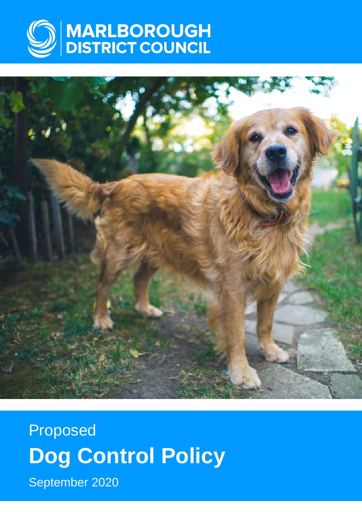



Proposed **Dog Control Policy** September 2020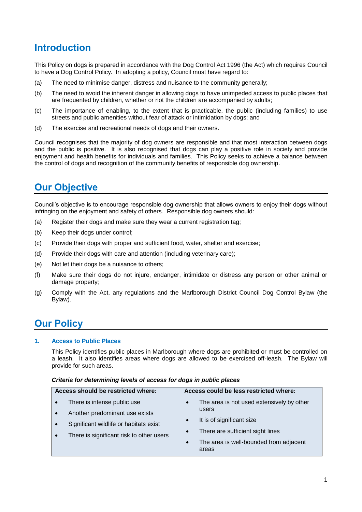# **Introduction**

This Policy on dogs is prepared in accordance with the Dog Control Act 1996 (the Act) which requires Council to have a Dog Control Policy. In adopting a policy, Council must have regard to:

- (a) The need to minimise danger, distress and nuisance to the community generally;
- (b) The need to avoid the inherent danger in allowing dogs to have unimpeded access to public places that are frequented by children, whether or not the children are accompanied by adults;
- (c) The importance of enabling, to the extent that is practicable, the public (including families) to use streets and public amenities without fear of attack or intimidation by dogs; and
- (d) The exercise and recreational needs of dogs and their owners.

Council recognises that the majority of dog owners are responsible and that most interaction between dogs and the public is positive. It is also recognised that dogs can play a positive role in society and provide enjoyment and health benefits for individuals and families. This Policy seeks to achieve a balance between the control of dogs and recognition of the community benefits of responsible dog ownership.

# **Our Objective**

Council's objective is to encourage responsible dog ownership that allows owners to enjoy their dogs without infringing on the enjoyment and safety of others. Responsible dog owners should:

- (a) Register their dogs and make sure they wear a current registration tag;
- (b) Keep their dogs under control;
- (c) Provide their dogs with proper and sufficient food, water, shelter and exercise;
- (d) Provide their dogs with care and attention (including veterinary care);
- (e) Not let their dogs be a nuisance to others;
- (f) Make sure their dogs do not injure, endanger, intimidate or distress any person or other animal or damage property;
- (g) Comply with the Act, any regulations and the Marlborough District Council Dog Control Bylaw (the Bylaw).

# **Our Policy**

### **1. Access to Public Places**

This Policy identifies public places in Marlborough where dogs are prohibited or must be controlled on a leash. It also identifies areas where dogs are allowed to be exercised off-leash. The Bylaw will provide for such areas.

#### *Criteria for determining levels of access for dogs in public places*

| Access should be restricted where: |                                          | Access could be less restricted where: |                                                 |  |
|------------------------------------|------------------------------------------|----------------------------------------|-------------------------------------------------|--|
|                                    | There is intense public use              | $\bullet$                              | The area is not used extensively by other       |  |
|                                    | Another predominant use exists           |                                        | users                                           |  |
|                                    | Significant wildlife or habitats exist   | $\bullet$                              | It is of significant size                       |  |
|                                    | There is significant risk to other users | $\bullet$                              | There are sufficient sight lines                |  |
|                                    |                                          | $\bullet$                              | The area is well-bounded from adjacent<br>areas |  |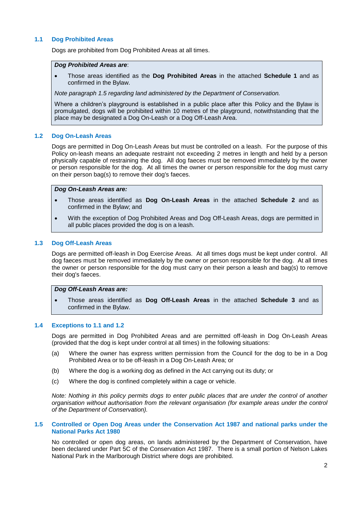#### **1.1 Dog Prohibited Areas**

Dogs are prohibited from Dog Prohibited Areas at all times.

#### *Dog Prohibited Areas are*:

 Those areas identified as the **Dog Prohibited Areas** in the attached **Schedule 1** and as confirmed in the Bylaw.

*Note paragraph 1.5 regarding land administered by the Department of Conservation.*

Where a children's playground is established in a public place after this Policy and the Bylaw is promulgated, dogs will be prohibited within 10 metres of the playground, notwithstanding that the place may be designated a Dog On-Leash or a Dog Off-Leash Area.

#### **1.2 Dog On-Leash Areas**

Dogs are permitted in Dog On-Leash Areas but must be controlled on a leash. For the purpose of this Policy on-leash means an adequate restraint not exceeding 2 metres in length and held by a person physically capable of restraining the dog. All dog faeces must be removed immediately by the owner or person responsible for the dog. At all times the owner or person responsible for the dog must carry on their person bag(s) to remove their dog's faeces.

#### *Dog On-Leash Areas are:*

- Those areas identified as **Dog On-Leash Areas** in the attached **Schedule 2** and as confirmed in the Bylaw; and
- With the exception of Dog Prohibited Areas and Dog Off-Leash Areas, dogs are permitted in all public places provided the dog is on a leash.

#### **1.3 Dog Off-Leash Areas**

Dogs are permitted off-leash in Dog Exercise Areas. At all times dogs must be kept under control. All dog faeces must be removed immediately by the owner or person responsible for the dog. At all times the owner or person responsible for the dog must carry on their person a leash and bag(s) to remove their dog's faeces.

### *Dog Off-Leash Areas are:*

 Those areas identified as **Dog Off-Leash Areas** in the attached **Schedule 3** and as confirmed in the Bylaw.

#### **1.4 Exceptions to 1.1 and 1.2**

Dogs are permitted in Dog Prohibited Areas and are permitted off-leash in Dog On-Leash Areas (provided that the dog is kept under control at all times) in the following situations:

- (a) Where the owner has express written permission from the Council for the dog to be in a Dog Prohibited Area or to be off-leash in a Dog On-Leash Area; or
- (b) Where the dog is a working dog as defined in the Act carrying out its duty; or
- (c) Where the dog is confined completely within a cage or vehicle.

*Note: Nothing in this policy permits dogs to enter public places that are under the control of another organisation without authorisation from the relevant organisation (for example areas under the control of the Department of Conservation).*

#### **1.5 Controlled or Open Dog Areas under the Conservation Act 1987 and national parks under the National Parks Act 1980**

No controlled or open dog areas, on lands administered by the Department of Conservation, have been declared under Part 5C of the Conservation Act 1987. There is a small portion of Nelson Lakes National Park in the Marlborough District where dogs are prohibited.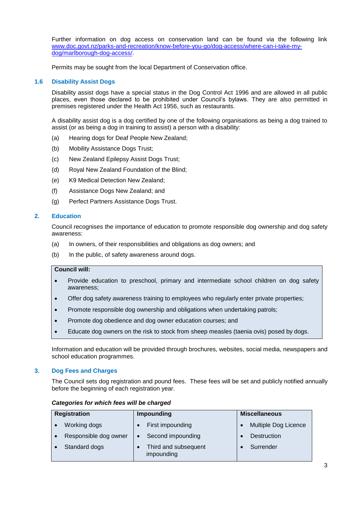Further information on dog access on conservation land can be found via the following link [www.doc.govt.nz/parks-and-recreation/know-before-you-go/dog-access/where-can-i-take-my](http://www.doc.govt.nz/parks-and-recreation/know-before-you-go/dog-access/where-can-i-take-my-dog/marlborough-dog-access/)[dog/marlborough-dog-access/.](http://www.doc.govt.nz/parks-and-recreation/know-before-you-go/dog-access/where-can-i-take-my-dog/marlborough-dog-access/)

Permits may be sought from the local Department of Conservation office.

#### **1.6 Disability Assist Dogs**

Disability assist dogs have a special status in the Dog Control Act 1996 and are allowed in all public places, even those declared to be prohibited under Council's bylaws. They are also permitted in premises registered under the Health Act 1956, such as restaurants.

A disability assist dog is a dog certified by one of the following organisations as being a dog trained to assist (or as being a dog in training to assist) a person with a disability:

- (a) Hearing dogs for Deaf People New Zealand;
- (b) Mobility Assistance Dogs Trust;
- (c) New Zealand Epilepsy Assist Dogs Trust;
- (d) Royal New Zealand Foundation of the Blind;
- (e) K9 Medical Detection New Zealand;
- (f) Assistance Dogs New Zealand; and
- (g) Perfect Partners Assistance Dogs Trust.

#### **2. Education**

Council recognises the importance of education to promote responsible dog ownership and dog safety awareness:

- (a) In owners, of their responsibilities and obligations as dog owners; and
- (b) In the public, of safety awareness around dogs.

### **Council will:**

- Provide education to preschool, primary and intermediate school children on dog safety awareness;
- Offer dog safety awareness training to employees who regularly enter private properties;
- Promote responsible dog ownership and obligations when undertaking patrols;
- Promote dog obedience and dog owner education courses; and
- Educate dog owners on the risk to stock from sheep measles (taenia ovis) posed by dogs.

Information and education will be provided through brochures, websites, social media, newspapers and school education programmes.

#### **3. Dog Fees and Charges**

The Council sets dog registration and pound fees. These fees will be set and publicly notified annually before the beginning of each registration year.

#### *Categories for which fees will be charged*

| <b>Registration</b> |                       | <b>Impounding</b> |                                    | <b>Miscellaneous</b> |                      |
|---------------------|-----------------------|-------------------|------------------------------------|----------------------|----------------------|
|                     | Working dogs          |                   | First impounding                   |                      | Multiple Dog Licence |
|                     | Responsible dog owner |                   | Second impounding                  |                      | <b>Destruction</b>   |
|                     | Standard dogs         |                   | Third and subsequent<br>impounding |                      | Surrender            |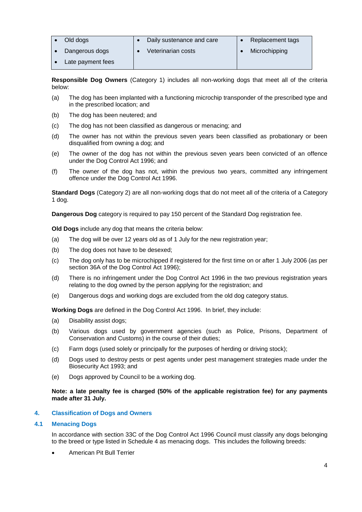| Old dogs          | Daily sustenance and care | Replacement tags |
|-------------------|---------------------------|------------------|
| Dangerous dogs    | Veterinarian costs        | Microchipping    |
| Late payment fees |                           |                  |

**Responsible Dog Owners** (Category 1) includes all non-working dogs that meet all of the criteria below:

- (a) The dog has been implanted with a functioning microchip transponder of the prescribed type and in the prescribed location; and
- (b) The dog has been neutered; and
- (c) The dog has not been classified as dangerous or menacing; and
- (d) The owner has not within the previous seven years been classified as probationary or been disqualified from owning a dog; and
- (e) The owner of the dog has not within the previous seven years been convicted of an offence under the Dog Control Act 1996; and
- (f) The owner of the dog has not, within the previous two years, committed any infringement offence under the Dog Control Act 1996.

**Standard Dogs** (Category 2) are all non-working dogs that do not meet all of the criteria of a Category 1 dog.

**Dangerous Dog** category is required to pay 150 percent of the Standard Dog registration fee.

**Old Dogs** include any dog that means the criteria below:

- (a) The dog will be over 12 years old as of 1 July for the new registration year;
- (b) The dog does not have to be desexed;
- (c) The dog only has to be microchipped if registered for the first time on or after 1 July 2006 (as per section 36A of the Dog Control Act 1996);
- (d) There is no infringement under the Dog Control Act 1996 in the two previous registration years relating to the dog owned by the person applying for the registration; and
- (e) Dangerous dogs and working dogs are excluded from the old dog category status.

**Working Dogs** are defined in the Dog Control Act 1996. In brief, they include:

- (a) Disability assist dogs;
- (b) Various dogs used by government agencies (such as Police, Prisons, Department of Conservation and Customs) in the course of their duties;
- (c) Farm dogs (used solely or principally for the purposes of herding or driving stock);
- (d) Dogs used to destroy pests or pest agents under pest management strategies made under the Biosecurity Act 1993; and
- (e) Dogs approved by Council to be a working dog.

#### **Note: a late penalty fee is charged (50% of the applicable registration fee) for any payments made after 31 July.**

### **4. Classification of Dogs and Owners**

#### **4.1 Menacing Dogs**

In accordance with section 33C of the Dog Control Act 1996 Council must classify any dogs belonging to the breed or type listed in Schedule 4 as menacing dogs. This includes the following breeds:

American Pit Bull Terrier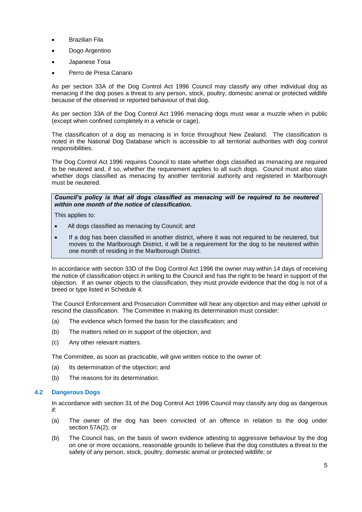- Brazilian Fila
- Dogo Argentino
- Japanese Tosa
- Perro de Presa Canario

As per section 33A of the Dog Control Act 1996 Council may classify any other individual dog as menacing if the dog poses a threat to any person, stock, poultry, domestic animal or protected wildlife because of the observed or reported behaviour of that dog.

As per section 33A of the Dog Control Act 1996 menacing dogs must wear a muzzle when in public (except when confined completely in a vehicle or cage).

The classification of a dog as menacing is in force throughout New Zealand. The classification is noted in the National Dog Database which is accessible to all territorial authorities with dog control responsibilities.

The Dog Control Act 1996 requires Council to state whether dogs classified as menacing are required to be neutered and, if so, whether the requirement applies to all such dogs. Council must also state whether dogs classified as menacing by another territorial authority and registered in Marlborough must be neutered.

#### *Council's policy is that all dogs classified as menacing will be required to be neutered within one month of the notice of classification.*

This applies to:

- All dogs classified as menacing by Council; and
- If a dog has been classified in another district, where it was not required to be neutered, but moves to the Marlborough District, it will be a requirement for the dog to be neutered within one month of residing in the Marlborough District.

In accordance with section 33D of the Dog Control Act 1996 the owner may within 14 days of receiving the notice of classification object in writing to the Council and has the right to be heard in support of the objection. If an owner objects to the classification, they must provide evidence that the dog is not of a breed or type listed in [Schedule 4.](http://www.legislation.govt.nz/act/public/1996/0013/latest/link.aspx?id=DLM375498#DLM375498)

The Council Enforcement and Prosecution Committee will hear any objection and may either uphold or rescind the classification. The Committee in making its determination must consider:

- (a) The evidence which formed the basis for the classification; and
- (b) The matters relied on in support of the objection; and
- (c) Any other relevant matters.

The Committee, as soon as practicable, will give written notice to the owner of:

- (a) Its determination of the objection; and
- (b) The reasons for its determination.

#### **4.2 Dangerous Dogs**

In accordance with section 31 of the Dog Control Act 1996 Council may classify any dog as dangerous if:

- (a) The owner of the dog has been convicted of an offence in relation to the dog under [section 57A\(2\);](http://www.legislation.govt.nz/act/public/1996/0013/latest/link.aspx?id=DLM375413#DLM375413) or
- (b) The Council has, on the basis of sworn evidence attesting to aggressive behaviour by the dog on one or more occasions, reasonable grounds to believe that the dog constitutes a threat to the safety of any person, stock, poultry, domestic animal or protected wildlife; or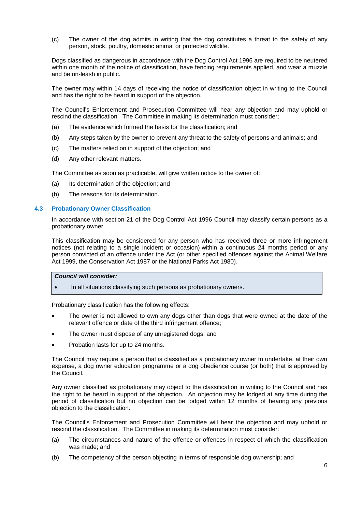(c) The owner of the dog admits in writing that the dog constitutes a threat to the safety of any person, stock, poultry, domestic animal or protected wildlife.

Dogs classified as dangerous in accordance with the Dog Control Act 1996 are required to be neutered within one month of the notice of classification, have fencing requirements applied, and wear a muzzle and be on-leash in public.

The owner may within 14 days of receiving the notice of classification object in writing to the Council and has the right to be heard in support of the objection.

The Council's Enforcement and Prosecution Committee will hear any objection and may uphold or rescind the classification. The Committee in making its determination must consider;

- (a) The evidence which formed the basis for the classification; and
- (b) Any steps taken by the owner to prevent any threat to the safety of persons and animals; and
- (c) The matters relied on in support of the objection; and
- (d) Any other relevant matters.

The Committee as soon as practicable, will give written notice to the owner of:

- (a) Its determination of the objection; and
- (b) The reasons for its determination.

#### **4.3 Probationary Owner Classification**

In accordance with section 21 of the Dog Control Act 1996 Council may classify certain persons as a probationary owner.

This classification may be considered for any person who has received three or more infringement notices (not relating to a single incident or occasion) within a continuous 24 months period or any person convicted of an offence under the Act (or other specified offences against the Animal Welfare Act 1999, the Conservation Act 1987 or the National Parks Act 1980).

### *Council will consider:*

• In all situations classifying such persons as probationary owners.

Probationary classification has the following effects:

- The owner is not allowed to own any dogs other than dogs that were owned at the date of the relevant offence or date of the third infringement offence;
- The owner must dispose of any unregistered dogs; and
- Probation lasts for up to 24 months.

The Council may require a person that is classified as a probationary owner to undertake, at their own expense, a dog owner education programme or a dog obedience course (or both) that is approved by the Council.

Any owner classified as probationary may object to the classification in writing to the Council and has the right to be heard in support of the objection. An objection may be lodged at any time during the period of classification but no objection can be lodged within 12 months of hearing any previous objection to the classification.

The Council's Enforcement and Prosecution Committee will hear the objection and may uphold or rescind the classification. The Committee in making its determination must consider:

- (a) The circumstances and nature of the offence or offences in respect of which the classification was made; and
- (b) The competency of the person objecting in terms of responsible dog ownership; and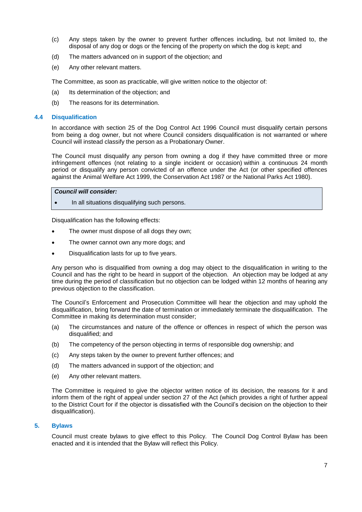- (c) Any steps taken by the owner to prevent further offences including, but not limited to, the disposal of any dog or dogs or the fencing of the property on which the dog is kept; and
- (d) The matters advanced on in support of the objection; and
- (e) Any other relevant matters.

The Committee, as soon as practicable, will give written notice to the objector of:

- (a) Its determination of the objection; and
- (b) The reasons for its determination.

#### **4.4 Disqualification**

In accordance with section 25 of the Dog Control Act 1996 Council must disqualify certain persons from being a dog owner, but not where Council considers disqualification is not warranted or where Council will instead classify the person as a Probationary Owner.

The Council must disqualify any person from owning a dog if they have committed three or more infringement offences (not relating to a single incident or occasion) within a continuous 24 month period or disqualify any person convicted of an offence under the Act (or other specified offences against the Animal Welfare Act 1999, the Conservation Act 1987 or the National Parks Act 1980).

### *Council will consider:*

In all situations disqualifying such persons.

Disqualification has the following effects:

- The owner must dispose of all dogs they own;
- The owner cannot own any more dogs; and
- Disqualification lasts for up to five years.

Any person who is disqualified from owning a dog may object to the disqualification in writing to the Council and has the right to be heard in support of the objection. An objection may be lodged at any time during the period of classification but no objection can be lodged within 12 months of hearing any previous objection to the classification.

The Council's Enforcement and Prosecution Committee will hear the objection and may uphold the disqualification, bring forward the date of termination or immediately terminate the disqualification. The Committee in making its determination must consider;

- (a) The circumstances and nature of the offence or offences in respect of which the person was disqualified; and
- (b) The competency of the person objecting in terms of responsible dog ownership; and
- (c) Any steps taken by the owner to prevent further offences; and
- (d) The matters advanced in support of the objection; and
- (e) Any other relevant matters.

The Committee is required to give the objector written notice of its decision, the reasons for it and inform them of the right of appeal under section 27 of the Act (which provides a right of further appeal to the District Court for if the objector is dissatisfied with the Council's decision on the objection to their disqualification).

#### **5. Bylaws**

Council must create bylaws to give effect to this Policy. The Council Dog Control Bylaw has been enacted and it is intended that the Bylaw will reflect this Policy.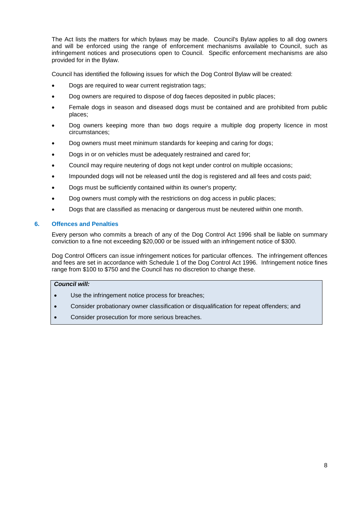The Act lists the matters for which bylaws may be made. Council's Bylaw applies to all dog owners and will be enforced using the range of enforcement mechanisms available to Council, such as infringement notices and prosecutions open to Council. Specific enforcement mechanisms are also provided for in the Bylaw.

Council has identified the following issues for which the Dog Control Bylaw will be created:

- Dogs are required to wear current registration tags;
- Dog owners are required to dispose of dog faeces deposited in public places;
- Female dogs in season and diseased dogs must be contained and are prohibited from public places;
- Dog owners keeping more than two dogs require a multiple dog property licence in most circumstances;
- Dog owners must meet minimum standards for keeping and caring for dogs;
- Dogs in or on vehicles must be adequately restrained and cared for;
- Council may require neutering of dogs not kept under control on multiple occasions;
- Impounded dogs will not be released until the dog is registered and all fees and costs paid;
- Dogs must be sufficiently contained within its owner's property;
- Dog owners must comply with the restrictions on dog access in public places;
- Dogs that are classified as menacing or dangerous must be neutered within one month.

#### **6. Offences and Penalties**

Every person who commits a breach of any of the Dog Control Act 1996 shall be liable on summary conviction to a fine not exceeding \$20,000 or be issued with an infringement notice of \$300.

Dog Control Officers can issue infringement notices for particular offences. The infringement offences and fees are set in accordance with Schedule 1 of the Dog Control Act 1996. Infringement notice fines range from \$100 to \$750 and the Council has no discretion to change these.

#### *Council will:*

- Use the infringement notice process for breaches;
- Consider probationary owner classification or disqualification for repeat offenders; and
- Consider prosecution for more serious breaches.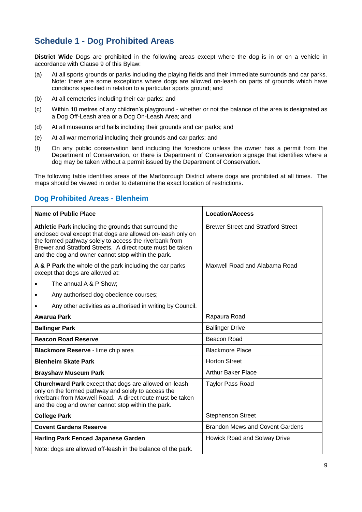# **Schedule 1 - Dog Prohibited Areas**

**District Wide** Dogs are prohibited in the following areas except where the dog is in or on a vehicle in accordance with Clause 9 of this Bylaw:

- (a) At all sports grounds or parks including the playing fields and their immediate surrounds and car parks. Note: there are some exceptions where dogs are allowed on-leash on parts of grounds which have conditions specified in relation to a particular sports ground; and
- (b) At all cemeteries including their car parks; and
- (c) Within 10 metres of any children's playground whether or not the balance of the area is designated as a Dog Off-Leash area or a Dog On-Leash Area; and
- (d) At all museums and halls including their grounds and car parks; and
- (e) At all war memorial including their grounds and car parks; and
- (f) On any public conservation land including the foreshore unless the owner has a permit from the Department of Conservation, or there is Department of Conservation signage that identifies where a dog may be taken without a permit issued by the Department of Conservation.

The following table identifies areas of the Marlborough District where dogs are prohibited at all times. The maps should be viewed in order to determine the exact location of restrictions.

### **Dog Prohibited Areas - Blenheim**

| Name of Public Place                                                                                                                                                                                                                                                                               | <b>Location/Access</b>                    |  |  |
|----------------------------------------------------------------------------------------------------------------------------------------------------------------------------------------------------------------------------------------------------------------------------------------------------|-------------------------------------------|--|--|
| Athletic Park including the grounds that surround the<br>enclosed oval except that dogs are allowed on-leash only on<br>the formed pathway solely to access the riverbank from<br>Brewer and Stratford Streets. A direct route must be taken<br>and the dog and owner cannot stop within the park. | <b>Brewer Street and Stratford Street</b> |  |  |
| A & P Park the whole of the park including the car parks<br>except that dogs are allowed at:                                                                                                                                                                                                       | Maxwell Road and Alabama Road             |  |  |
| The annual A & P Show;                                                                                                                                                                                                                                                                             |                                           |  |  |
| Any authorised dog obedience courses;                                                                                                                                                                                                                                                              |                                           |  |  |
| Any other activities as authorised in writing by Council.                                                                                                                                                                                                                                          |                                           |  |  |
| <b>Awarua Park</b>                                                                                                                                                                                                                                                                                 | Rapaura Road                              |  |  |
| <b>Ballinger Park</b>                                                                                                                                                                                                                                                                              | <b>Ballinger Drive</b>                    |  |  |
| <b>Beacon Road Reserve</b>                                                                                                                                                                                                                                                                         | Beacon Road                               |  |  |
| Blackmore Reserve - lime chip area                                                                                                                                                                                                                                                                 | <b>Blackmore Place</b>                    |  |  |
| <b>Blenheim Skate Park</b>                                                                                                                                                                                                                                                                         | <b>Horton Street</b>                      |  |  |
| <b>Brayshaw Museum Park</b>                                                                                                                                                                                                                                                                        | <b>Arthur Baker Place</b>                 |  |  |
| Churchward Park except that dogs are allowed on-leash<br>only on the formed pathway and solely to access the<br>riverbank from Maxwell Road. A direct route must be taken<br>and the dog and owner cannot stop within the park.                                                                    | <b>Taylor Pass Road</b>                   |  |  |
| <b>College Park</b>                                                                                                                                                                                                                                                                                | <b>Stephenson Street</b>                  |  |  |
| <b>Covent Gardens Reserve</b>                                                                                                                                                                                                                                                                      | <b>Brandon Mews and Covent Gardens</b>    |  |  |
| <b>Harling Park Fenced Japanese Garden</b>                                                                                                                                                                                                                                                         | Howick Road and Solway Drive              |  |  |
| Note: dogs are allowed off-leash in the balance of the park.                                                                                                                                                                                                                                       |                                           |  |  |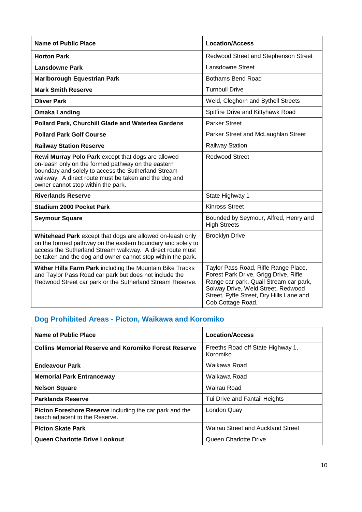| <b>Name of Public Place</b>                                                                                                                                                                                                                                    | <b>Location/Access</b>                                                                                                                                                                                                         |  |  |
|----------------------------------------------------------------------------------------------------------------------------------------------------------------------------------------------------------------------------------------------------------------|--------------------------------------------------------------------------------------------------------------------------------------------------------------------------------------------------------------------------------|--|--|
| <b>Horton Park</b>                                                                                                                                                                                                                                             | Redwood Street and Stephenson Street                                                                                                                                                                                           |  |  |
| <b>Lansdowne Park</b>                                                                                                                                                                                                                                          | <b>Lansdowne Street</b>                                                                                                                                                                                                        |  |  |
| <b>Marlborough Equestrian Park</b>                                                                                                                                                                                                                             | <b>Bothams Bend Road</b>                                                                                                                                                                                                       |  |  |
| <b>Mark Smith Reserve</b>                                                                                                                                                                                                                                      | <b>Turnbull Drive</b>                                                                                                                                                                                                          |  |  |
| <b>Oliver Park</b>                                                                                                                                                                                                                                             | Weld, Cleghorn and Bythell Streets                                                                                                                                                                                             |  |  |
| <b>Omaka Landing</b>                                                                                                                                                                                                                                           | Spitfire Drive and Kittyhawk Road                                                                                                                                                                                              |  |  |
| Pollard Park, Churchill Glade and Waterlea Gardens                                                                                                                                                                                                             | <b>Parker Street</b>                                                                                                                                                                                                           |  |  |
| <b>Pollard Park Golf Course</b>                                                                                                                                                                                                                                | Parker Street and McLaughlan Street                                                                                                                                                                                            |  |  |
| <b>Railway Station Reserve</b>                                                                                                                                                                                                                                 | <b>Railway Station</b>                                                                                                                                                                                                         |  |  |
| Rewi Murray Polo Park except that dogs are allowed<br>on-leash only on the formed pathway on the eastern<br>boundary and solely to access the Sutherland Stream<br>walkway. A direct route must be taken and the dog and<br>owner cannot stop within the park. | <b>Redwood Street</b>                                                                                                                                                                                                          |  |  |
| <b>Riverlands Reserve</b>                                                                                                                                                                                                                                      | State Highway 1                                                                                                                                                                                                                |  |  |
| <b>Stadium 2000 Pocket Park</b>                                                                                                                                                                                                                                | <b>Kinross Street</b>                                                                                                                                                                                                          |  |  |
| <b>Seymour Square</b>                                                                                                                                                                                                                                          | Bounded by Seymour, Alfred, Henry and<br><b>High Streets</b>                                                                                                                                                                   |  |  |
| Whitehead Park except that dogs are allowed on-leash only<br>on the formed pathway on the eastern boundary and solely to<br>access the Sutherland Stream walkway. A direct route must<br>be taken and the dog and owner cannot stop within the park.           | <b>Brooklyn Drive</b>                                                                                                                                                                                                          |  |  |
| Wither Hills Farm Park including the Mountain Bike Tracks<br>and Taylor Pass Road car park but does not include the<br>Redwood Street car park or the Sutherland Stream Reserve.                                                                               | Taylor Pass Road, Rifle Range Place,<br>Forest Park Drive, Grigg Drive, Rifle<br>Range car park, Quail Stream car park,<br>Solway Drive, Weld Street, Redwood<br>Street, Fyffe Street, Dry Hills Lane and<br>Cob Cottage Road. |  |  |

# **Dog Prohibited Areas - Picton, Waikawa and Koromiko**

| Name of Public Place                                                                      | <b>Location/Access</b>                        |
|-------------------------------------------------------------------------------------------|-----------------------------------------------|
| <b>Collins Memorial Reserve and Koromiko Forest Reserve</b>                               | Freeths Road off State Highway 1,<br>Koromiko |
| <b>Endeavour Park</b>                                                                     | Waikawa Road                                  |
| <b>Memorial Park Entranceway</b>                                                          | Waikawa Road                                  |
| <b>Nelson Square</b>                                                                      | Wairau Road                                   |
| <b>Parklands Reserve</b>                                                                  | Tui Drive and Fantail Heights                 |
| Picton Foreshore Reserve including the car park and the<br>beach adjacent to the Reserve. | London Quay                                   |
| <b>Picton Skate Park</b>                                                                  | Wairau Street and Auckland Street             |
| Queen Charlotte Drive Lookout                                                             | Queen Charlotte Drive                         |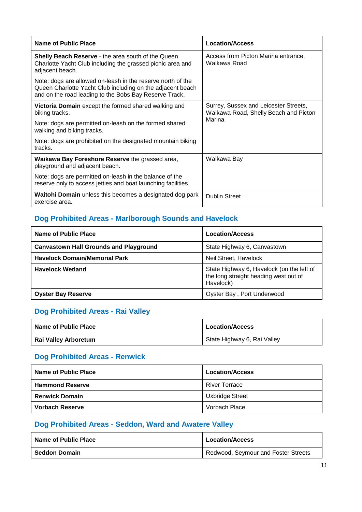| Name of Public Place                                                                                                                                                                | <b>Location/Access</b>                                                                   |
|-------------------------------------------------------------------------------------------------------------------------------------------------------------------------------------|------------------------------------------------------------------------------------------|
| <b>Shelly Beach Reserve - the area south of the Queen</b><br>Charlotte Yacht Club including the grassed picnic area and<br>adjacent beach.                                          | Access from Picton Marina entrance,<br>Waikawa Road                                      |
| Note: dogs are allowed on-leash in the reserve north of the<br>Queen Charlotte Yacht Club including on the adjacent beach<br>and on the road leading to the Bobs Bay Reserve Track. |                                                                                          |
| <b>Victoria Domain</b> except the formed shared walking and<br>biking tracks.                                                                                                       | Surrey, Sussex and Leicester Streets,<br>Waikawa Road, Shelly Beach and Picton<br>Marina |
| Note: dogs are permitted on-leash on the formed shared<br>walking and biking tracks.                                                                                                |                                                                                          |
| Note: dogs are prohibited on the designated mountain biking<br>tracks.                                                                                                              |                                                                                          |
| Waikawa Bay Foreshore Reserve the grassed area,<br>playground and adjacent beach.                                                                                                   | Waikawa Bay                                                                              |
| Note: dogs are permitted on-leash in the balance of the<br>reserve only to access jetties and boat launching facilities.                                                            |                                                                                          |
| Waitohi Domain unless this becomes a designated dog park<br>exercise area.                                                                                                          | <b>Dublin Street</b>                                                                     |

# **Dog Prohibited Areas - Marlborough Sounds and Havelock**

| Name of Public Place                          | <b>Location/Access</b>                                                                          |
|-----------------------------------------------|-------------------------------------------------------------------------------------------------|
| <b>Canvastown Hall Grounds and Playground</b> | State Highway 6, Canvastown                                                                     |
| <b>Havelock Domain/Memorial Park</b>          | Neil Street, Havelock                                                                           |
| <b>Havelock Wetland</b>                       | State Highway 6, Havelock (on the left of<br>the long straight heading west out of<br>Havelock) |
| <b>Oyster Bay Reserve</b>                     | Oyster Bay, Port Underwood                                                                      |

# **Dog Prohibited Areas - Rai Valley**

| Name of Public Place | <b>Location/Access</b>      |
|----------------------|-----------------------------|
| Rai Valley Arboretum | State Highway 6, Rai Valley |

## **Dog Prohibited Areas - Renwick**

| Name of Public Place   | <b>Location/Access</b> |
|------------------------|------------------------|
| <b>Hammond Reserve</b> | <b>River Terrace</b>   |
| <b>Renwick Domain</b>  | Uxbridge Street        |
| Vorbach Reserve        | Vorbach Place          |

# **Dog Prohibited Areas - Seddon, Ward and Awatere Valley**

| Name of Public Place | <b>Location/Access</b>                |
|----------------------|---------------------------------------|
| <b>Seddon Domain</b> | I Redwood, Seymour and Foster Streets |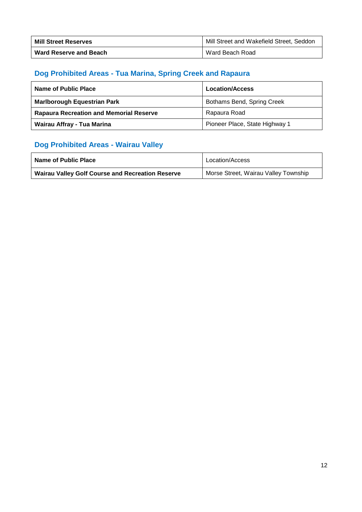| <b>Mill Street Reserves</b> | Mill Street and Wakefield Street, Seddon |
|-----------------------------|------------------------------------------|
| Ward Reserve and Beach      | Ward Beach Road                          |

# **Dog Prohibited Areas - Tua Marina, Spring Creek and Rapaura**

| Name of Public Place                           | <b>Location/Access</b>         |
|------------------------------------------------|--------------------------------|
| <b>Marlborough Equestrian Park</b>             | Bothams Bend, Spring Creek     |
| <b>Rapaura Recreation and Memorial Reserve</b> | Rapaura Road                   |
| Wairau Affray - Tua Marina                     | Pioneer Place, State Highway 1 |

# **Dog Prohibited Areas - Wairau Valley**

| Name of Public Place                                    | Location/Access                      |
|---------------------------------------------------------|--------------------------------------|
| <b>Wairau Valley Golf Course and Recreation Reserve</b> | Morse Street, Wairau Valley Township |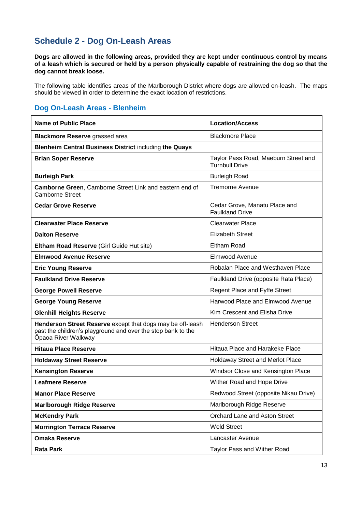# **Schedule 2 - Dog On-Leash Areas**

**Dogs are allowed in the following areas, provided they are kept under continuous control by means of a leash which is secured or held by a person physically capable of restraining the dog so that the dog cannot break loose.** 

The following table identifies areas of the Marlborough District where dogs are allowed on-leash. The maps should be viewed in order to determine the exact location of restrictions.

### **Dog On-Leash Areas - Blenheim**

| <b>Name of Public Place</b>                                                                                                                       | <b>Location/Access</b>                                        |
|---------------------------------------------------------------------------------------------------------------------------------------------------|---------------------------------------------------------------|
| <b>Blackmore Reserve grassed area</b>                                                                                                             | <b>Blackmore Place</b>                                        |
| <b>Blenheim Central Business District including the Quays</b>                                                                                     |                                                               |
| <b>Brian Soper Reserve</b>                                                                                                                        | Taylor Pass Road, Maeburn Street and<br><b>Turnbull Drive</b> |
| <b>Burleigh Park</b>                                                                                                                              | <b>Burleigh Road</b>                                          |
| Camborne Green, Camborne Street Link and eastern end of<br><b>Camborne Street</b>                                                                 | <b>Tremorne Avenue</b>                                        |
| <b>Cedar Grove Reserve</b>                                                                                                                        | Cedar Grove, Manatu Place and<br><b>Faulkland Drive</b>       |
| <b>Clearwater Place Reserve</b>                                                                                                                   | <b>Clearwater Place</b>                                       |
| <b>Dalton Reserve</b>                                                                                                                             | <b>Elizabeth Street</b>                                       |
| Eltham Road Reserve (Girl Guide Hut site)                                                                                                         | Eltham Road                                                   |
| <b>Elmwood Avenue Reserve</b>                                                                                                                     | Elmwood Avenue                                                |
| <b>Eric Young Reserve</b>                                                                                                                         | Robalan Place and Westhaven Place                             |
| <b>Faulkland Drive Reserve</b>                                                                                                                    | Faulkland Drive (opposite Rata Place)                         |
| <b>George Powell Reserve</b>                                                                                                                      | Regent Place and Fyffe Street                                 |
| <b>George Young Reserve</b>                                                                                                                       | Harwood Place and Elmwood Avenue                              |
| <b>Glenhill Heights Reserve</b>                                                                                                                   | Kim Crescent and Elisha Drive                                 |
| Henderson Street Reserve except that dogs may be off-leash<br>past the children's playground and over the stop bank to the<br>Ōpaoa River Walkway | <b>Henderson Street</b>                                       |
| <b>Hitaua Place Reserve</b>                                                                                                                       | Hitaua Place and Harakeke Place                               |
| <b>Holdaway Street Reserve</b>                                                                                                                    | Holdaway Street and Merlot Place                              |
| <b>Kensington Reserve</b>                                                                                                                         | Windsor Close and Kensington Place                            |
| <b>Leafmere Reserve</b>                                                                                                                           | Wither Road and Hope Drive                                    |
| <b>Manor Place Reserve</b>                                                                                                                        | Redwood Street (opposite Nikau Drive)                         |
| <b>Marlborough Ridge Reserve</b>                                                                                                                  | Marlborough Ridge Reserve                                     |
| <b>McKendry Park</b>                                                                                                                              | Orchard Lane and Aston Street                                 |
| <b>Morrington Terrace Reserve</b>                                                                                                                 | <b>Weld Street</b>                                            |
| <b>Omaka Reserve</b>                                                                                                                              | Lancaster Avenue                                              |
| <b>Rata Park</b>                                                                                                                                  | Taylor Pass and Wither Road                                   |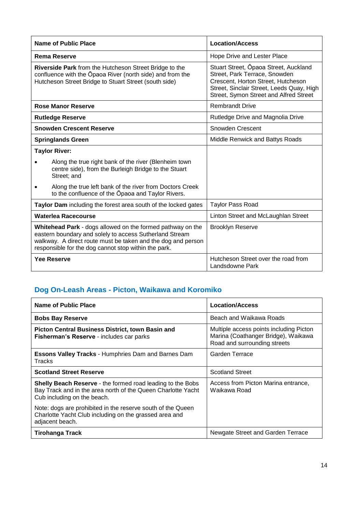| <b>Name of Public Place</b>                                                                                                                                                                                                                   | <b>Location/Access</b>                                                                                                                                                                              |
|-----------------------------------------------------------------------------------------------------------------------------------------------------------------------------------------------------------------------------------------------|-----------------------------------------------------------------------------------------------------------------------------------------------------------------------------------------------------|
| <b>Rema Reserve</b>                                                                                                                                                                                                                           | Hope Drive and Lester Place                                                                                                                                                                         |
| Riverside Park from the Hutcheson Street Bridge to the<br>confluence with the Opaoa River (north side) and from the<br>Hutcheson Street Bridge to Stuart Street (south side)                                                                  | Stuart Street, Opaoa Street, Auckland<br>Street, Park Terrace, Snowden<br>Crescent, Horton Street, Hutcheson<br>Street, Sinclair Street, Leeds Quay, High<br>Street, Symon Street and Alfred Street |
| <b>Rose Manor Reserve</b>                                                                                                                                                                                                                     | <b>Rembrandt Drive</b>                                                                                                                                                                              |
| <b>Rutledge Reserve</b>                                                                                                                                                                                                                       | Rutledge Drive and Magnolia Drive                                                                                                                                                                   |
| <b>Snowden Crescent Reserve</b>                                                                                                                                                                                                               | Snowden Crescent                                                                                                                                                                                    |
| <b>Springlands Green</b>                                                                                                                                                                                                                      | Middle Renwick and Battys Roads                                                                                                                                                                     |
| <b>Taylor River:</b>                                                                                                                                                                                                                          |                                                                                                                                                                                                     |
| Along the true right bank of the river (Blenheim town<br>centre side), from the Burleigh Bridge to the Stuart<br>Street; and                                                                                                                  |                                                                                                                                                                                                     |
| Along the true left bank of the river from Doctors Creek<br>to the confluence of the Opaoa and Taylor Rivers.                                                                                                                                 |                                                                                                                                                                                                     |
| Taylor Dam including the forest area south of the locked gates                                                                                                                                                                                | <b>Taylor Pass Road</b>                                                                                                                                                                             |
| Waterlea Racecourse                                                                                                                                                                                                                           | Linton Street and McLaughlan Street                                                                                                                                                                 |
| Whitehead Park - dogs allowed on the formed pathway on the<br>eastern boundary and solely to access Sutherland Stream<br>walkway. A direct route must be taken and the dog and person<br>responsible for the dog cannot stop within the park. | <b>Brooklyn Reserve</b>                                                                                                                                                                             |
| <b>Yee Reserve</b>                                                                                                                                                                                                                            | Hutcheson Street over the road from<br>Landsdowne Park                                                                                                                                              |

# **Dog On-Leash Areas - Picton, Waikawa and Koromiko**

| <b>Name of Public Place</b>                                                                                                                               | <b>Location/Access</b>                                                                                         |
|-----------------------------------------------------------------------------------------------------------------------------------------------------------|----------------------------------------------------------------------------------------------------------------|
| <b>Bobs Bay Reserve</b>                                                                                                                                   | Beach and Waikawa Roads                                                                                        |
| <b>Picton Central Business District, town Basin and</b><br>Fisherman's Reserve - includes car parks                                                       | Multiple access points including Picton<br>Marina (Coathanger Bridge), Waikawa<br>Road and surrounding streets |
| <b>Essons Valley Tracks - Humphries Dam and Barnes Dam</b><br>Tracks                                                                                      | Garden Terrace                                                                                                 |
| <b>Scotland Street Reserve</b>                                                                                                                            | <b>Scotland Street</b>                                                                                         |
| Shelly Beach Reserve - the formed road leading to the Bobs<br>Bay Track and in the area north of the Queen Charlotte Yacht<br>Cub including on the beach. | Access from Picton Marina entrance,<br>Waikawa Road                                                            |
| Note: dogs are prohibited in the reserve south of the Queen<br>Charlotte Yacht Club including on the grassed area and<br>adjacent beach.                  |                                                                                                                |
| Tirohanga Track                                                                                                                                           | Newgate Street and Garden Terrace                                                                              |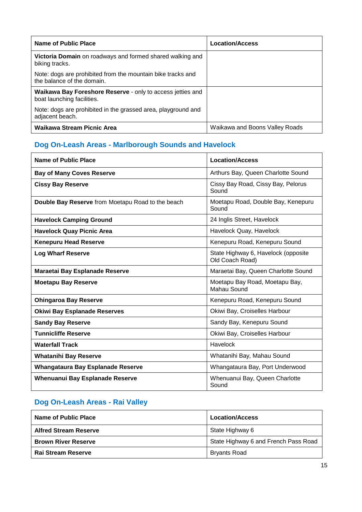| Name of Public Place                                                                      | <b>Location/Access</b>         |
|-------------------------------------------------------------------------------------------|--------------------------------|
| Victoria Domain on roadways and formed shared walking and<br>biking tracks.               |                                |
| Note: dogs are prohibited from the mountain bike tracks and<br>the balance of the domain. |                                |
| Waikawa Bay Foreshore Reserve - only to access jetties and<br>boat launching facilities.  |                                |
| Note: dogs are prohibited in the grassed area, playground and<br>adjacent beach.          |                                |
| Waikawa Stream Picnic Area                                                                | Waikawa and Boons Valley Roads |

# **Dog On-Leash Areas - Marlborough Sounds and Havelock**

| Name of Public Place                              | <b>Location/Access</b>                                 |
|---------------------------------------------------|--------------------------------------------------------|
| <b>Bay of Many Coves Reserve</b>                  | Arthurs Bay, Queen Charlotte Sound                     |
| <b>Cissy Bay Reserve</b>                          | Cissy Bay Road, Cissy Bay, Pelorus<br>Sound            |
| Double Bay Reserve from Moetapu Road to the beach | Moetapu Road, Double Bay, Kenepuru<br>Sound            |
| <b>Havelock Camping Ground</b>                    | 24 Inglis Street, Havelock                             |
| <b>Havelock Quay Picnic Area</b>                  | Havelock Quay, Havelock                                |
| <b>Kenepuru Head Reserve</b>                      | Kenepuru Road, Kenepuru Sound                          |
| <b>Log Wharf Reserve</b>                          | State Highway 6, Havelock (opposite<br>Old Coach Road) |
| Maraetai Bay Esplanade Reserve                    | Maraetai Bay, Queen Charlotte Sound                    |
| <b>Moetapu Bay Reserve</b>                        | Moetapu Bay Road, Moetapu Bay,<br>Mahau Sound          |
| <b>Ohingaroa Bay Reserve</b>                      | Kenepuru Road, Kenepuru Sound                          |
| <b>Okiwi Bay Esplanade Reserves</b>               | Okiwi Bay, Croiselles Harbour                          |
| <b>Sandy Bay Reserve</b>                          | Sandy Bay, Kenepuru Sound                              |
| <b>Tunnicliffe Reserve</b>                        | Okiwi Bay, Croiselles Harbour                          |
| <b>Waterfall Track</b>                            | Havelock                                               |
| <b>Whatanihi Bay Reserve</b>                      | Whatanihi Bay, Mahau Sound                             |
| Whangataura Bay Esplanade Reserve                 | Whangataura Bay, Port Underwood                        |
| Whenuanui Bay Esplanade Reserve                   | Whenuanui Bay, Queen Charlotte<br>Sound                |

# **Dog On-Leash Areas - Rai Valley**

| Name of Public Place         | <b>Location/Access</b>               |
|------------------------------|--------------------------------------|
| <b>Alfred Stream Reserve</b> | State Highway 6                      |
| <b>Brown River Reserve</b>   | State Highway 6 and French Pass Road |
| <b>Rai Stream Reserve</b>    | <b>Bryants Road</b>                  |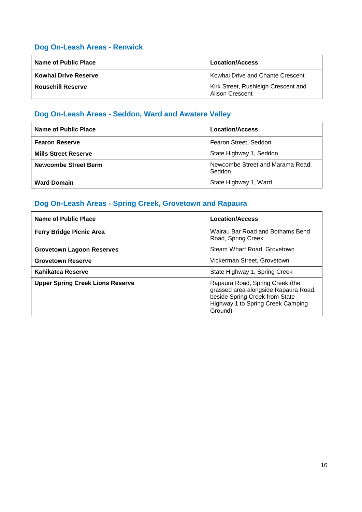# **Dog On-Leash Areas - Renwick**

| Name of Public Place     | <b>Location/Access</b>                                        |
|--------------------------|---------------------------------------------------------------|
| Kowhai Drive Reserve     | Kowhai Drive and Chante Crescent                              |
| <b>Rousehill Reserve</b> | Kirk Street, Rushleigh Crescent and<br><b>Alison Crescent</b> |

# **Dog On-Leash Areas - Seddon, Ward and Awatere Valley**

| Name of Public Place        | <b>Location/Access</b>                     |
|-----------------------------|--------------------------------------------|
| <b>Fearon Reserve</b>       | Fearon Street, Seddon                      |
| <b>Mills Street Reserve</b> | State Highway 1, Seddon                    |
| <b>Newcombe Street Berm</b> | Newcombe Street and Marama Road,<br>Seddon |
| <b>Ward Domain</b>          | State Highway 1, Ward                      |

# **Dog On-Leash Areas - Spring Creek, Grovetown and Rapaura**

| Name of Public Place                    | <b>Location/Access</b>                                                                                                                                    |
|-----------------------------------------|-----------------------------------------------------------------------------------------------------------------------------------------------------------|
| <b>Ferry Bridge Picnic Area</b>         | Wairau Bar Road and Bothams Bend<br>Road, Spring Creek                                                                                                    |
| <b>Grovetown Lagoon Reserves</b>        | Steam Wharf Road, Grovetown                                                                                                                               |
| <b>Grovetown Reserve</b>                | Vickerman Street, Grovetown                                                                                                                               |
| Kahikatea Reserve                       | State Highway 1, Spring Creek                                                                                                                             |
| <b>Upper Spring Creek Lions Reserve</b> | Rapaura Road, Spring Creek (the<br>grassed area alongside Rapaura Road,<br>beside Spring Creek from State<br>Highway 1 to Spring Creek Camping<br>Ground) |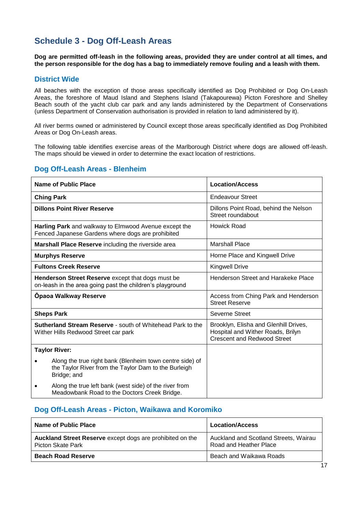# **Schedule 3 - Dog Off-Leash Areas**

**Dog are permitted off-leash in the following areas, provided they are under control at all times, and the person responsible for the dog has a bag to immediately remove fouling and a leash with them.** 

### **District Wide**

All beaches with the exception of those areas specifically identified as Dog Prohibited or Dog On-Leash Areas, the foreshore of Maud Island and Stephens Island (Takapourewa) Picton Foreshore and Shelley Beach south of the yacht club car park and any lands administered by the Department of Conservations (unless Department of Conservation authorisation is provided in relation to land administered by it).

All river berms owned or administered by Council except those areas specifically identified as Dog Prohibited Areas or Dog On-Leash areas.

The following table identifies exercise areas of the Marlborough District where dogs are allowed off-leash. The maps should be viewed in order to determine the exact location of restrictions.

### **Dog Off-Leash Areas - Blenheim**

| Name of Public Place                                                                                                            | <b>Location/Access</b>                                                                                           |
|---------------------------------------------------------------------------------------------------------------------------------|------------------------------------------------------------------------------------------------------------------|
| <b>Ching Park</b>                                                                                                               | <b>Endeavour Street</b>                                                                                          |
| <b>Dillons Point River Reserve</b>                                                                                              | Dillons Point Road, behind the Nelson<br>Street roundabout                                                       |
| Harling Park and walkway to Elmwood Avenue except the<br>Fenced Japanese Gardens where dogs are prohibited                      | Howick Road                                                                                                      |
| Marshall Place Reserve including the riverside area                                                                             | <b>Marshall Place</b>                                                                                            |
| <b>Murphys Reserve</b>                                                                                                          | Horne Place and Kingwell Drive                                                                                   |
| <b>Fultons Creek Reserve</b>                                                                                                    | <b>Kingwell Drive</b>                                                                                            |
| Henderson Street Reserve except that dogs must be<br>on-leash in the area going past the children's playground                  | Henderson Street and Harakeke Place                                                                              |
| Opaoa Walkway Reserve                                                                                                           | Access from Ching Park and Henderson<br><b>Street Reserve</b>                                                    |
| <b>Sheps Park</b>                                                                                                               | Severne Street                                                                                                   |
| <b>Sutherland Stream Reserve - south of Whitehead Park to the</b><br>Wither Hills Redwood Street car park                       | Brooklyn, Elisha and Glenhill Drives,<br>Hospital and Wither Roads, Brilyn<br><b>Crescent and Redwood Street</b> |
| <b>Taylor River:</b>                                                                                                            |                                                                                                                  |
| Along the true right bank (Blenheim town centre side) of<br>the Taylor River from the Taylor Dam to the Burleigh<br>Bridge; and |                                                                                                                  |
| Along the true left bank (west side) of the river from<br>Meadowbank Road to the Doctors Creek Bridge.                          |                                                                                                                  |

### **Dog Off-Leash Areas - Picton, Waikawa and Koromiko**

| Name of Public Place                                                                  | <b>Location/Access</b>                                          |
|---------------------------------------------------------------------------------------|-----------------------------------------------------------------|
| Auckland Street Reserve except dogs are prohibited on the<br><b>Picton Skate Park</b> | Auckland and Scotland Streets, Wairau<br>Road and Heather Place |
| <b>Beach Road Reserve</b>                                                             | Beach and Waikawa Roads                                         |